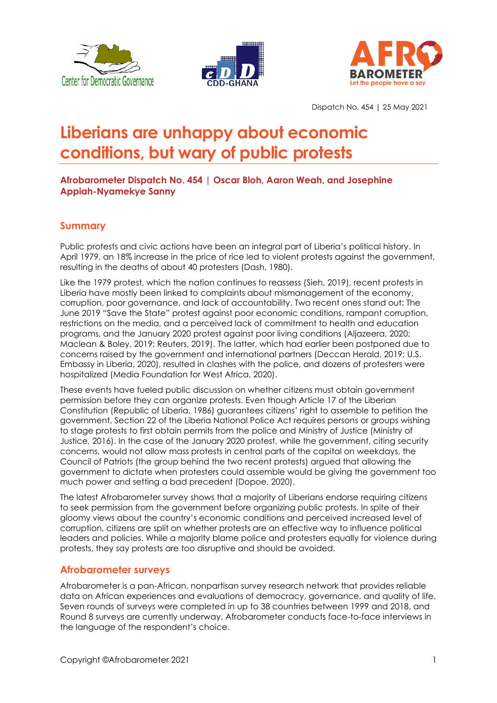





Dispatch No. 454 | 25 May 2021

# **Liberians are unhappy about economic conditions, but wary of public protests**

### **Afrobarometer Dispatch No. 454 | Oscar Bloh, Aaron Weah, and Josephine Appiah-Nyamekye Sanny**

## **Summary**

Public protests and civic actions have been an integral part of Liberia's political history. In April 1979, an 18% increase in the price of rice led to violent protests against the government, resulting in the deaths of about 40 protesters (Dash, 1980).

Like the 1979 protest, which the nation continues to reassess (Sieh, 2019), recent protests in Liberia have mostly been linked to complaints about mismanagement of the economy, corruption, poor governance, and lack of accountability. Two recent ones stand out: The June 2019 "Save the State" protest against poor economic conditions, rampant corruption, restrictions on the media, and a perceived lack of commitment to health and education programs, and the January 2020 protest against poor living conditions (Aljazeera, 2020; Maclean & Boley, 2019; Reuters, 2019). The latter, which had earlier been postponed due to concerns raised by the government and international partners (Deccan Herald, 2019; U.S. Embassy in Liberia, 2020), resulted in clashes with the police, and dozens of protesters were hospitalized (Media Foundation for West Africa, 2020).

These events have fueled public discussion on whether citizens must obtain government permission before they can organize protests. Even though Article 17 of the Liberian Constitution (Republic of Liberia, 1986) guarantees citizens' right to assemble to petition the government, Section 22 of the Liberia National Police Act requires persons or groups wishing to stage protests to first obtain permits from the police and Ministry of Justice (Ministry of Justice, 2016). In the case of the January 2020 protest, while the government, citing security concerns, would not allow mass protests in central parts of the capital on weekdays, the Council of Patriots (the group behind the two recent protests) argued that allowing the government to dictate when protesters could assemble would be giving the government too much power and setting a bad precedent (Dopoe, 2020).

The latest Afrobarometer survey shows that a majority of Liberians endorse requiring citizens to seek permission from the government before organizing public protests. In spite of their gloomy views about the country's economic conditions and perceived increased level of corruption, citizens are split on whether protests are an effective way to influence political leaders and policies. While a majority blame police and protesters equally for violence during protests, they say protests are too disruptive and should be avoided.

## **Afrobarometer surveys**

Afrobarometer is a pan-African, nonpartisan survey research network that provides reliable data on African experiences and evaluations of democracy, governance, and quality of life. Seven rounds of surveys were completed in up to 38 countries between 1999 and 2018, and Round 8 surveys are currently underway. Afrobarometer conducts face-to-face interviews in the language of the respondent's choice.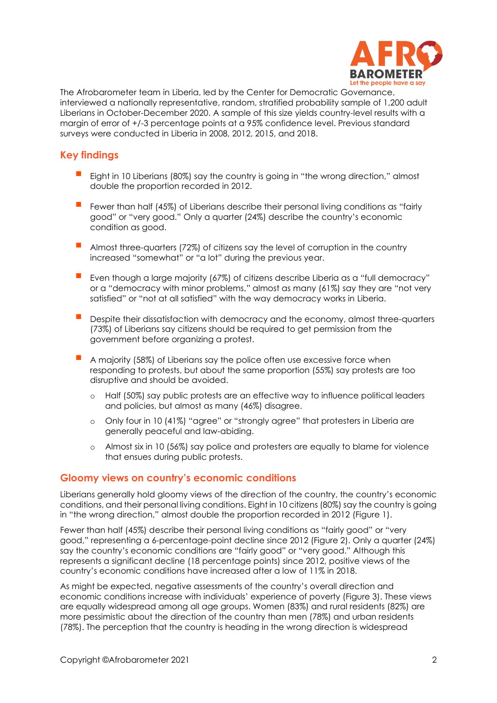

The Afrobarometer team in Liberia, led by the Center for Democratic Governance, interviewed a nationally representative, random, stratified probability sample of 1,200 adult Liberians in October-December 2020. A sample of this size yields country-level results with a margin of error of +/-3 percentage points at a 95% confidence level. Previous standard surveys were conducted in Liberia in 2008, 2012, 2015, and 2018.

## **Key findings**

- Eight in 10 Liberians (80%) say the country is going in "the wrong direction," almost double the proportion recorded in 2012.
- Fewer than half (45%) of Liberians describe their personal living conditions as "fairly good" or "very good." Only a quarter (24%) describe the country's economic condition as good.
- Almost three-quarters (72%) of citizens say the level of corruption in the country increased "somewhat" or "a lot" during the previous year.
- Even though a large majority (67%) of citizens describe Liberia as a "full democracy" or a "democracy with minor problems," almost as many (61%) say they are "not very satisfied" or "not at all satisfied" with the way democracy works in Liberia.
- Despite their dissatisfaction with democracy and the economy, almost three-quarters (73%) of Liberians say citizens should be required to get permission from the government before organizing a protest.
- A majority (58%) of Liberians say the police often use excessive force when responding to protests, but about the same proportion (55%) say protests are too disruptive and should be avoided.
	- o Half (50%) say public protests are an effective way to influence political leaders and policies, but almost as many (46%) disagree.
	- o Only four in 10 (41%) "agree" or "strongly agree" that protesters in Liberia are generally peaceful and law-abiding.
	- o Almost six in 10 (56%) say police and protesters are equally to blame for violence that ensues during public protests.

#### **Gloomy views on country's economic conditions**

Liberians generally hold gloomy views of the direction of the country, the country's economic conditions, and their personal living conditions. Eight in 10 citizens (80%) say the country is going in "the wrong direction," almost double the proportion recorded in 2012 (Figure 1).

Fewer than half (45%) describe their personal living conditions as "fairly good" or "very good," representing a 6-percentage-point decline since 2012 (Figure 2). Only a quarter (24%) say the country's economic conditions are "fairly good" or "very good." Although this represents a significant decline (18 percentage points) since 2012, positive views of the country's economic conditions have increased after a low of 11% in 2018.

As might be expected, negative assessments of the country's overall direction and economic conditions increase with individuals' experience of poverty (Figure 3). These views are equally widespread among all age groups. Women (83%) and rural residents (82%) are more pessimistic about the direction of the country than men (78%) and urban residents (78%). The perception that the country is heading in the wrong direction is widespread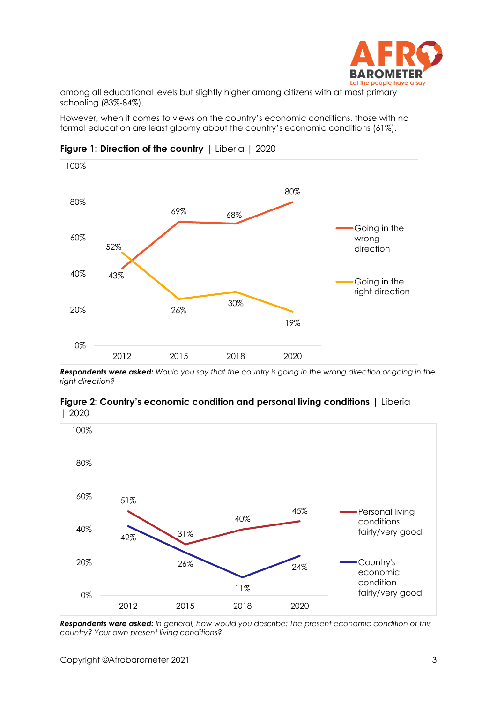

among all educational levels but slightly higher among citizens with at most primary schooling (83%-84%).

However, when it comes to views on the country's economic conditions, those with no formal education are least gloomy about the country's economic conditions (61%).



**Figure 1: Direction of the country** | Liberia | 2020

*Respondents were asked: Would you say that the country is going in the wrong direction or going in the right direction?*





*Respondents were asked: In general, how would you describe: The present economic condition of this country? Your own present living conditions?*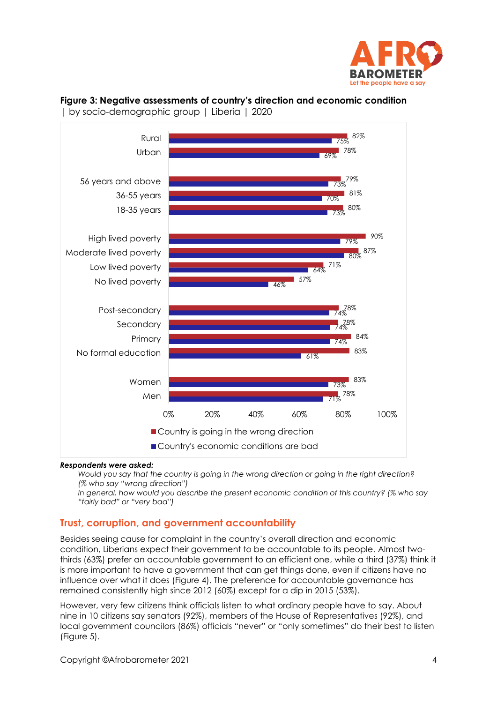

#### **Figure 3: Negative assessments of country's direction and economic condition**  | by socio-demographic group | Liberia | 2020



#### *Respondents were asked:*

*Would you say that the country is going in the wrong direction or going in the right direction? (% who say "wrong direction")*

*In general, how would you describe the present economic condition of this country? (% who say "fairly bad" or "very bad")*

#### **Trust, corruption, and government accountability**

Besides seeing cause for complaint in the country's overall direction and economic condition, Liberians expect their government to be accountable to its people. Almost twothirds (63%) prefer an accountable government to an efficient one, while a third (37%) think it is more important to have a government that can get things done, even if citizens have no influence over what it does (Figure 4). The preference for accountable governance has remained consistently high since 2012 (60%) except for a dip in 2015 (53%).

However, very few citizens think officials listen to what ordinary people have to say. About nine in 10 citizens say senators (92%), members of the House of Representatives (92%), and local government councilors (86%) officials "never" or "only sometimes" do their best to listen (Figure 5).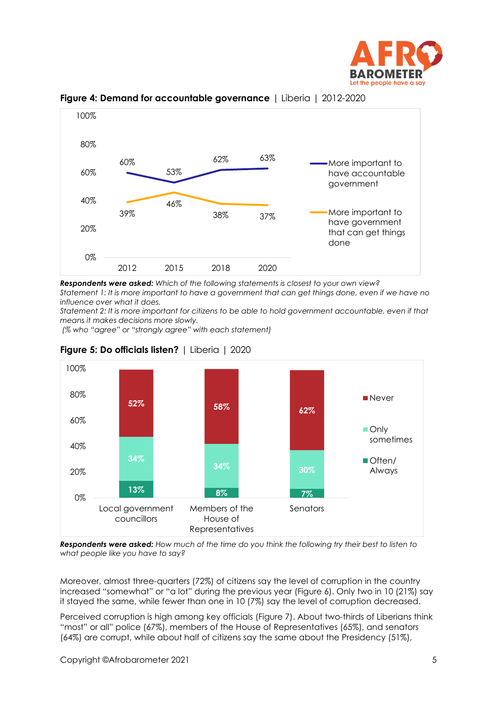



**Figure 4: Demand for accountable governance** | Liberia | 2012-2020

*Respondents were asked: Which of the following statements is closest to your own view? Statement 1: It is more important to have a government that can get things done, even if we have no influence over what it does.*

*Statement 2: It is more important for citizens to be able to hold government accountable, even if that means it makes decisions more slowly.*

*(% who "agree" or "strongly agree" with each statement)*



**Figure 5: Do officials listen?** | Liberia | 2020

*Respondents were asked: How much of the time do you think the following try their best to listen to what people like you have to say?*

Moreover, almost three-quarters (72%) of citizens say the level of corruption in the country increased "somewhat" or "a lot" during the previous year (Figure 6). Only two in 10 (21%) say it stayed the same, while fewer than one in 10 (7%) say the level of corruption decreased.

Perceived corruption is high among key officials (Figure 7). About two-thirds of Liberians think "most" or all" police (67%), members of the House of Representatives (65%), and senators (64%) are corrupt, while about half of citizens say the same about the Presidency (51%),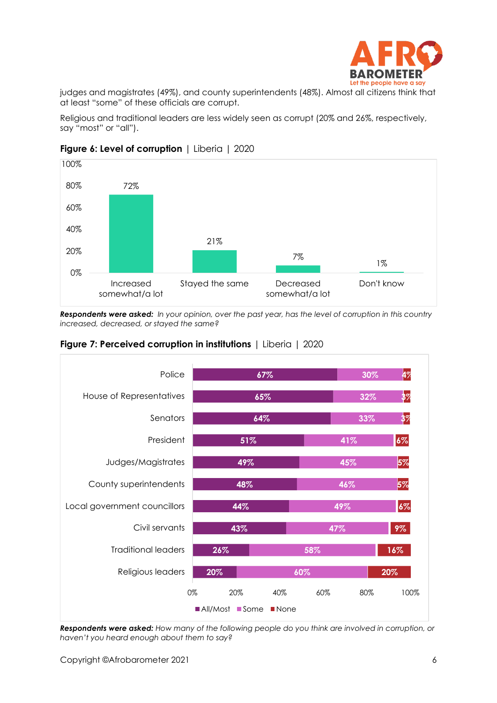

judges and magistrates (49%), and county superintendents (48%). Almost all citizens think that at least "some" of these officials are corrupt.

Religious and traditional leaders are less widely seen as corrupt (20% and 26%, respectively, say "most" or "all").



#### **Figure 6: Level of corruption** | Liberia | 2020

*Respondents were asked: In your opinion, over the past year, has the level of corruption in this country increased, decreased, or stayed the same?*



#### **Figure 7: Perceived corruption in institutions** | Liberia | 2020

*Respondents were asked: How many of the following people do you think are involved in corruption, or haven't you heard enough about them to say?*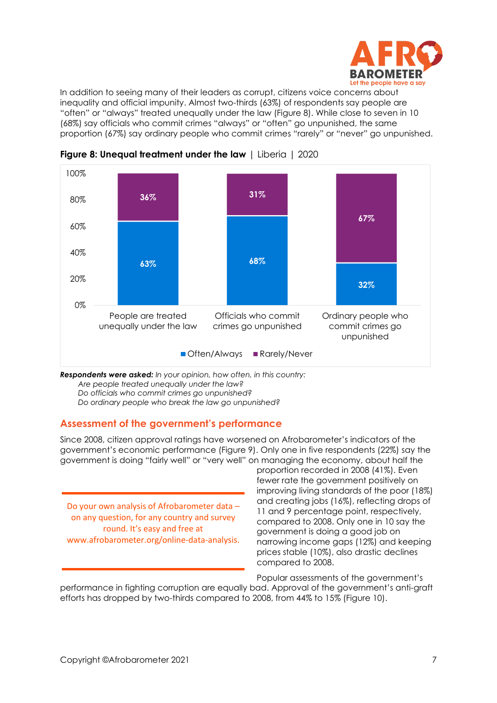

In addition to seeing many of their leaders as corrupt, citizens voice concerns about inequality and official impunity. Almost two-thirds (63%) of respondents say people are "often" or "always" treated unequally under the law (Figure 8). While close to seven in 10 (68%) say officials who commit crimes "always" or "often" go unpunished, the same proportion (67%) say ordinary people who commit crimes "rarely" or "never" go unpunished.



**Figure 8: Unequal treatment under the law** | Liberia | 2020

*Respondents were asked: In your opinion, how often, in this country: Are people treated unequally under the law? Do officials who commit crimes go unpunished?*

*Do ordinary people who break the law go unpunished?*

## **Assessment of the government's performance**

Since 2008, citizen approval ratings have worsened on Afrobarometer's indicators of the government's economic performance (Figure 9). Only one in five respondents (22%) say the government is doing "fairly well" or "very well" on managing the economy, about half the

Do your own analysis of Afrobarometer data – on any question, for any country and survey round. It's easy and free at www.afrobarometer.org/online-data-analysis.

proportion recorded in 2008 (41%). Even fewer rate the government positively on improving living standards of the poor (18%) and creating jobs (16%), reflecting drops of 11 and 9 percentage point, respectively, compared to 2008. Only one in 10 say the government is doing a good job on narrowing income gaps (12%) and keeping prices stable (10%), also drastic declines compared to 2008.

Popular assessments of the government's performance in fighting corruption are equally bad. Approval of the government's anti-graft efforts has dropped by two-thirds compared to 2008, from 44% to 15% (Figure 10).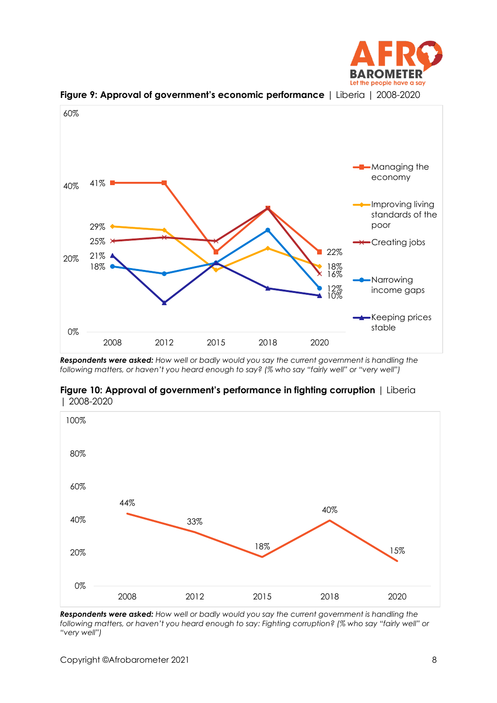



**Figure 9: Approval of government's economic performance** | Liberia | 2008-2020

*Respondents were asked: How well or badly would you say the current government is handling the following matters, or haven't you heard enough to say? (% who say "fairly well" or "very well")*



33%

**Figure 10: Approval of government's performance in fighting corruption | Liberia** | 2008-2020



18%

2008 2012 2015 2018 2020

40%

0%

20%

40%

60%

44%

15%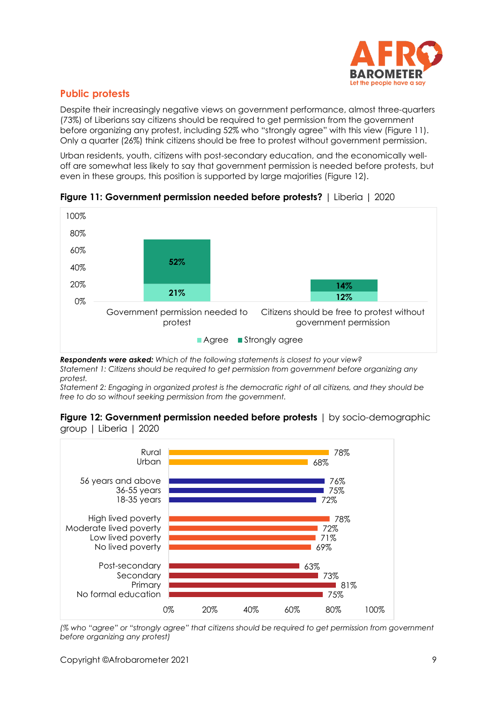

# **Public protests**

Despite their increasingly negative views on government performance, almost three-quarters (73%) of Liberians say citizens should be required to get permission from the government before organizing any protest, including 52% who "strongly agree" with this view (Figure 11). Only a quarter (26%) think citizens should be free to protest without government permission.

Urban residents, youth, citizens with post-secondary education, and the economically welloff are somewhat less likely to say that government permission is needed before protests, but even in these groups, this position is supported by large majorities (Figure 12).



**Figure 11: Government permission needed before protests?** | Liberia | 2020

*Respondents were asked: Which of the following statements is closest to your view? Statement 1: Citizens should be required to get permission from government before organizing any protest.*

*Statement 2: Engaging in organized protest is the democratic right of all citizens, and they should be free to do so without seeking permission from the government.* 





*(% who "agree" or "strongly agree" that citizens should be required to get permission from government before organizing any protest)*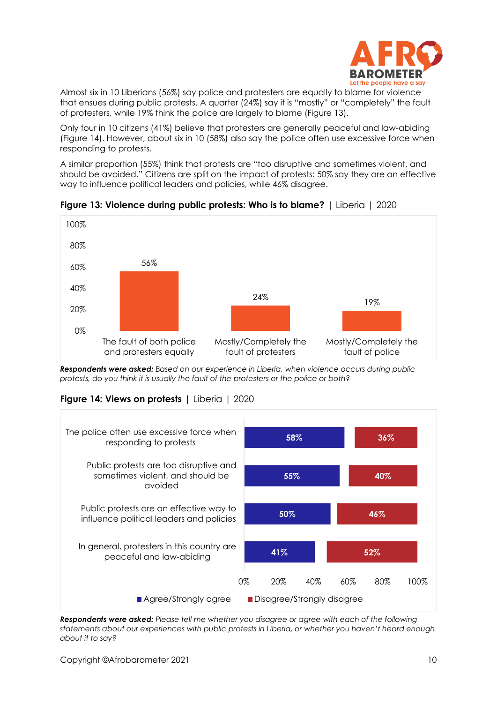

Almost six in 10 Liberians (56%) say police and protesters are equally to blame for violence that ensues during public protests. A quarter (24%) say it is "mostly" or "completely" the fault of protesters, while 19% think the police are largely to blame (Figure 13).

Only four in 10 citizens (41%) believe that protesters are generally peaceful and law-abiding (Figure 14). However, about six in 10 (58%) also say the police often use excessive force when responding to protests.

A similar proportion (55%) think that protests are "too disruptive and sometimes violent, and should be avoided." Citizens are split on the impact of protests: 50% say they are an effective way to influence political leaders and policies, while 46% disagree.



**Figure 13: Violence during public protests: Who is to blame?** | Liberia | 2020

*Respondents were asked: Based on our experience in Liberia, when violence occurs during public protests, do you think it is usually the fault of the protesters or the police or both?*

#### **Figure 14: Views on protests** | Liberia | 2020



*Respondents were asked: Please tell me whether you disagree or agree with each of the following statements about our experiences with public protests in Liberia, or whether you haven't heard enough about it to say?*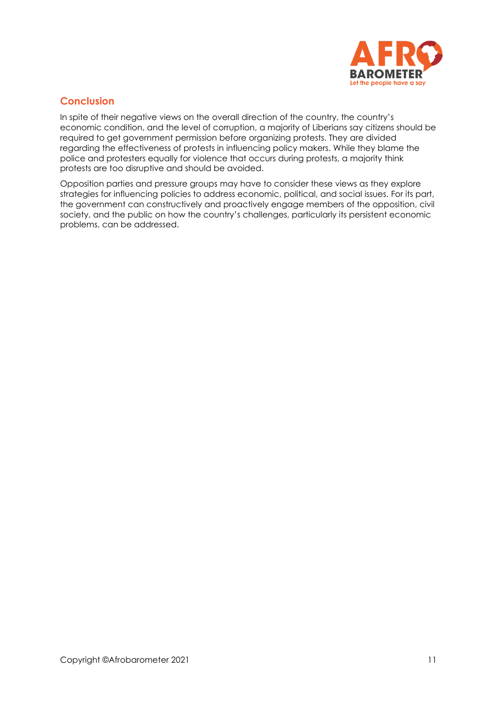

## **Conclusion**

In spite of their negative views on the overall direction of the country, the country's economic condition, and the level of corruption, a majority of Liberians say citizens should be required to get government permission before organizing protests. They are divided regarding the effectiveness of protests in influencing policy makers. While they blame the police and protesters equally for violence that occurs during protests, a majority think protests are too disruptive and should be avoided.

Opposition parties and pressure groups may have to consider these views as they explore strategies for influencing policies to address economic, political, and social issues. For its part, the government can constructively and proactively engage members of the opposition, civil society, and the public on how the country's challenges, particularly its persistent economic problems, can be addressed.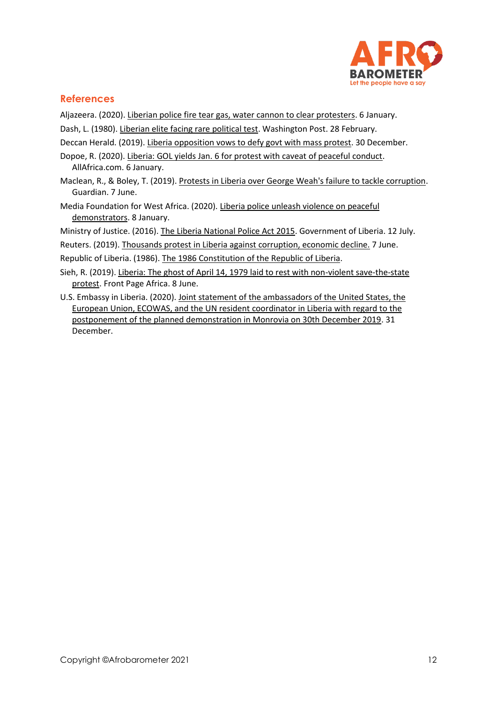

## **References**

Aljazeera. (2020)[. Liberian police fire tear gas, water cannon to clear protesters.](https://www.aljazeera.com/economy/2020/1/6/liberian-police-fire-tear-gas-water-cannon-to-clear-protesters) 6 January.

- Dash, L. (1980)[. Liberian elite facing rare political test.](https://www.washingtonpost.com/archive/politics/1980/02/28/liberian-elite-facing-rare-political-test/0df96b47-f0ef-45de-a235-5b789ce06d15/) Washington Post. 28 February.
- Deccan Herald. (2019). [Liberia opposition vows to defy govt with mass protest.](https://www.deccanherald.com/international/liberia-opposition-vows-to-defy-govt-with-mass-protest-789827.html) 30 December.
- Dopoe, R. (2020). [Liberia: GOL yields Jan. 6 for protest with caveat of peaceful conduct.](https://allafrica.com/stories/202001060355.html) AllAfrica.com. 6 January.
- Maclean, R., & Boley, T. (2019)[. Protests in Liberia over George Weah's failure to tackle corruption.](https://www.theguardian.com/world/2019/jun/07/thousands-protest-in-liberia-against-failure-to-tackle-corruption) Guardian. 7 June.
- Media Foundation for West Africa. (2020). [Liberia police unleash violence on peaceful](https://www.mfwa.org/country-highlights/liberia-police-unleash-violence-on-peaceful-demonstrators/)  [demonstrators.](https://www.mfwa.org/country-highlights/liberia-police-unleash-violence-on-peaceful-demonstrators/) 8 January.

Ministry of Justice. (2016)[. The Liberia National Police Act 2015.](http://moj.gov.lr/data/uploads/downloads/police-act.pdf) Government of Liberia. 12 July.

Reuters. (2019). [Thousands protest in Liberia against corruption, economic decline.](https://www.reuters.com/article/us-liberia-protest-idUSKCN1T82ER) 7 June.

Republic of Liberia. (1986). [The 1986 Constitution of the Republic of Liberia.](https://www.eisa.org/pdf/lib2017amendedlaw.pdf)

- Sieh, R. (2019). Liberia: The ghost of April 14, 1979 laid to rest with non-violent save-the-state [protest.](https://frontpageafricaonline.com/news/liberia-the-ghost-of-april-14-1979-laid-to-rest-with-non-violent-save-the-state-protest/) Front Page Africa. 8 June.
- U.S. Embassy in Liberia. (2020). [Joint statement of the ambassadors of the United States, the](https://lr.usembassy.gov/joint-statement-12312019/)  [European Union, ECOWAS, and the UN resident coordinator in Liberia with regard to the](https://lr.usembassy.gov/joint-statement-12312019/)  [postponement of the planned demonstration in Monrovia on 30th December 2019.](https://lr.usembassy.gov/joint-statement-12312019/) 31 December.